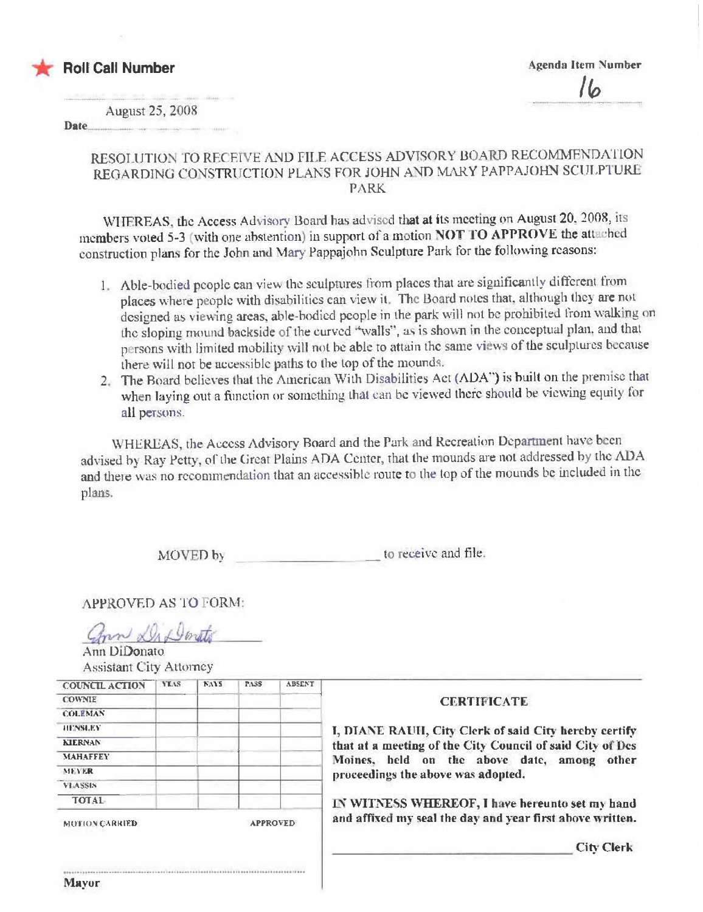

August 25, 2008

**Date** 

## RESOLUTION TO RECEIVE AND FILE ACCESS ADVISORY BOARD RECOMMENDATION REGARDING CONSTRUCTION PLANS FOR JOHN AND MARY PAPPAJOHN SCULPTURE **PARK**

WHEREAS, the Access Advisory Board has advised that at its meeting on August 20, 2008, its members voted 5-3 (with one abstention) in support of a motion NOT TO APPROVE the attached construction plans for the John and Mary Pappajohn Sculpture Park for the following reasons:

- 1. Able-bodied people can view the sculptures from places that are significantly different from places where people with disabilities can view it. The Board notes that, although they are not designed as viewing areas, able-bodied people in the park will not be prohibited from walking on the sloping mound backside of the curved "walls", as is shown in the conceptual plan, and that persons with limited mobility will not be able to attain the same views of the sculptures because there will not be accessible paths to the top of the mounds.
- 2. The Board believes that the American With Disabilities Act (ADA") is built on the premise that when laying out a function or something that can be viewed there should be viewing equity for all persons.

WHEREAS, the Access Advisory Board and the Park and Recreation Department have been advised by Ray Petty, of the Great Plains ADA Center, that the mounds are not addressed by the ADA and there was no recommendation that an accessible route to the top of the mounds be included in the plans.

> to receive and file. MOVED by

**APPROVED AS TO FORM:** 

nn Di Donto

Ann DiDonato Assistant City Attorney

| <b>COUNCIL ACTION</b>                    | <b>YEAS</b> | <b>NAYS</b>                                           | PASS | <b>ABSENT</b> |                                                           |
|------------------------------------------|-------------|-------------------------------------------------------|------|---------------|-----------------------------------------------------------|
| <b>COWNIE</b>                            |             |                                                       |      |               | <b>CERTIFICATE</b>                                        |
| <b>COLEMAN</b>                           |             |                                                       |      |               |                                                           |
| <b>HENSLEY</b>                           |             | I, DIANE RAUH, City Clerk of said City hereby certify |      |               |                                                           |
| <b>KIERNAN</b>                           |             |                                                       |      |               | that at a meeting of the City Council of said City of Des |
| <b>MAHAFFEY</b>                          |             | Moines, held on the above date, among other           |      |               |                                                           |
| <b>MEVER</b>                             |             |                                                       |      |               | proceedings the above was adopted.                        |
| VEASSIN                                  |             |                                                       |      |               |                                                           |
| <b>TOTAL</b>                             |             |                                                       |      |               | IN WITNESS WHEREOF, I have hereunto set my hand           |
| <b>APPROVED</b><br><b>MOTION CARRIED</b> |             |                                                       |      |               | and affixed my seal the day and year first above written. |
|                                          |             |                                                       |      |               | <b>City Clerk</b>                                         |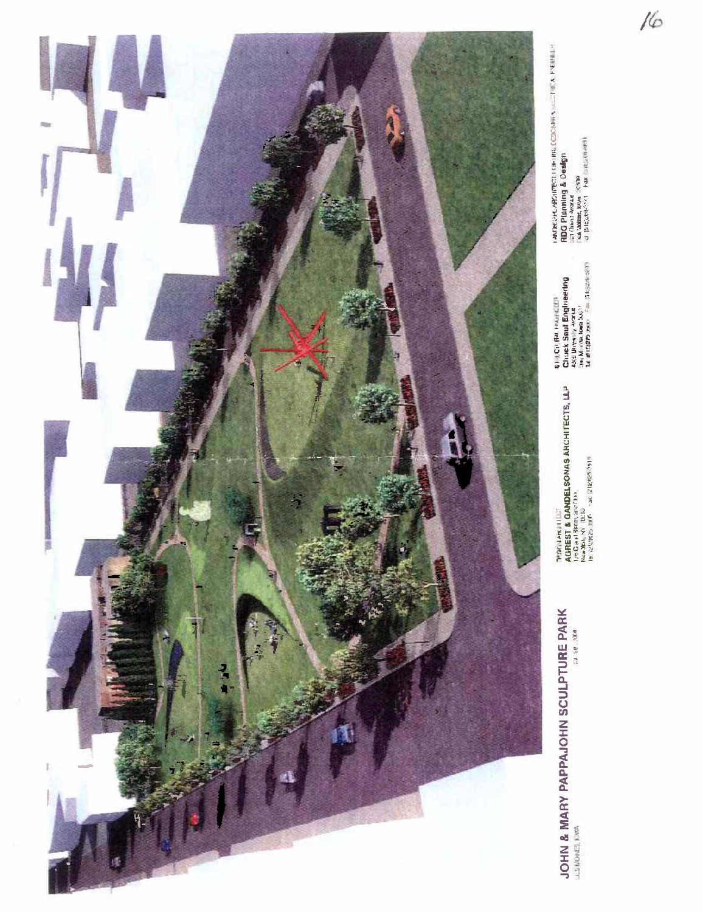

**JOHN & MARY PAPPAJOHN SCULPTURE PARK** 

PSYCLARINUM<br>AGREST & GAMDELSONAS ARCHITECTS, LLP<br>Life Graf Shoot, Jack David<br>La (248620 Jul<sup>07</sup>) - 24 (248656918)

LAMBROVE ABSUPECTI FAFTING CORRAHIS - LOTING K EVANNELIA<br>GDG Planning & Design<br>un Dina same, sons - SCP<br>Ca same, son - Fax outputern

 $16$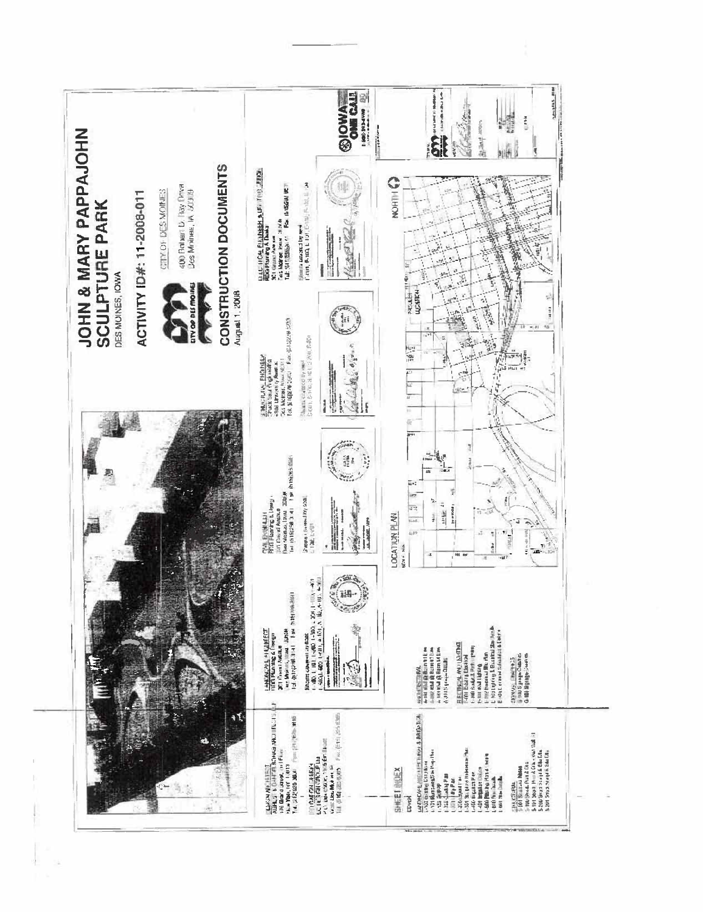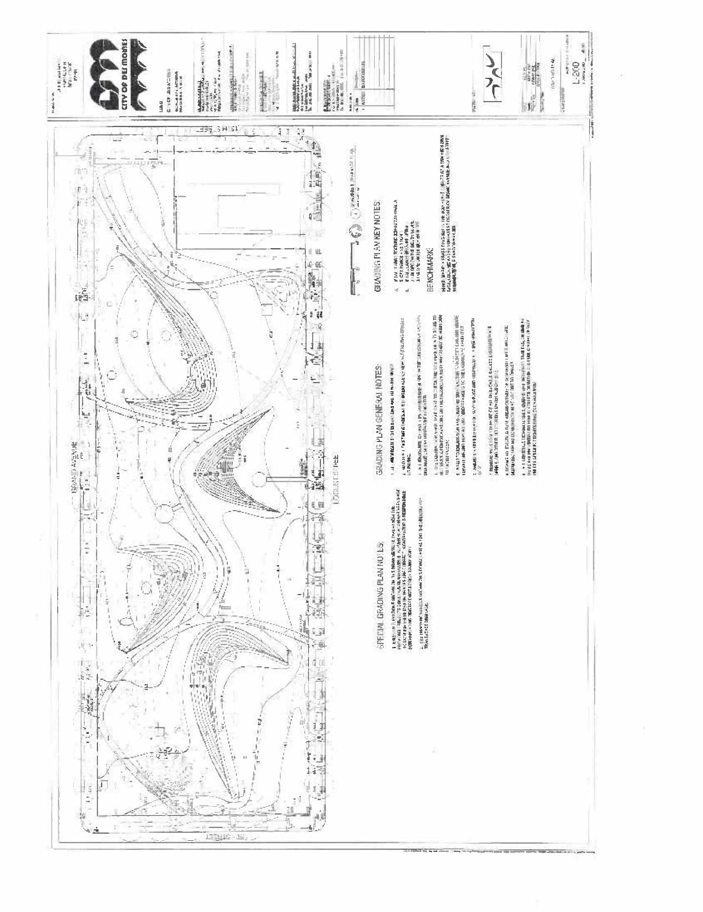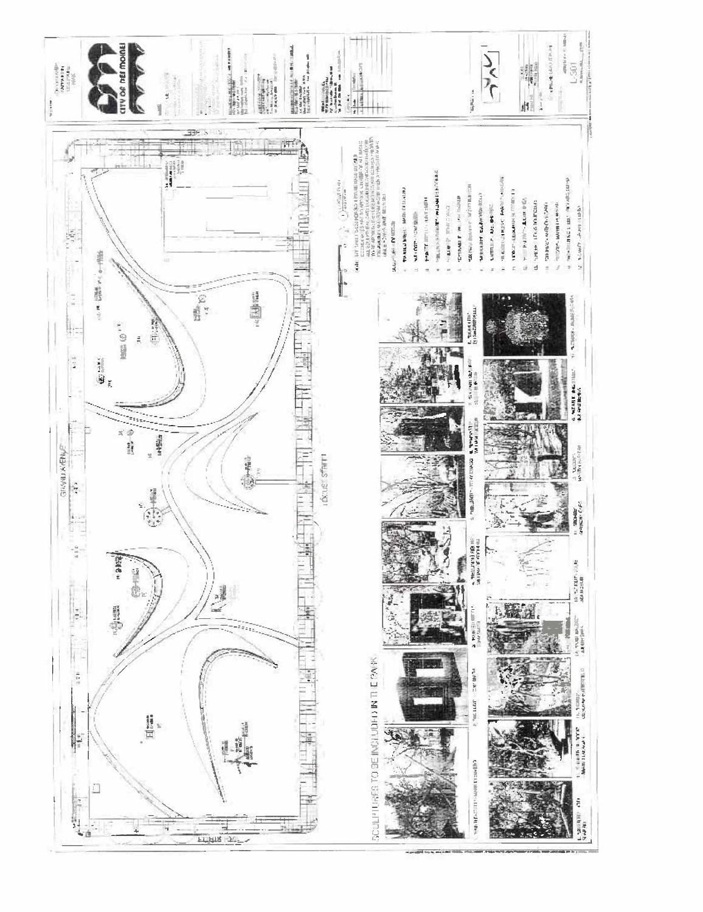